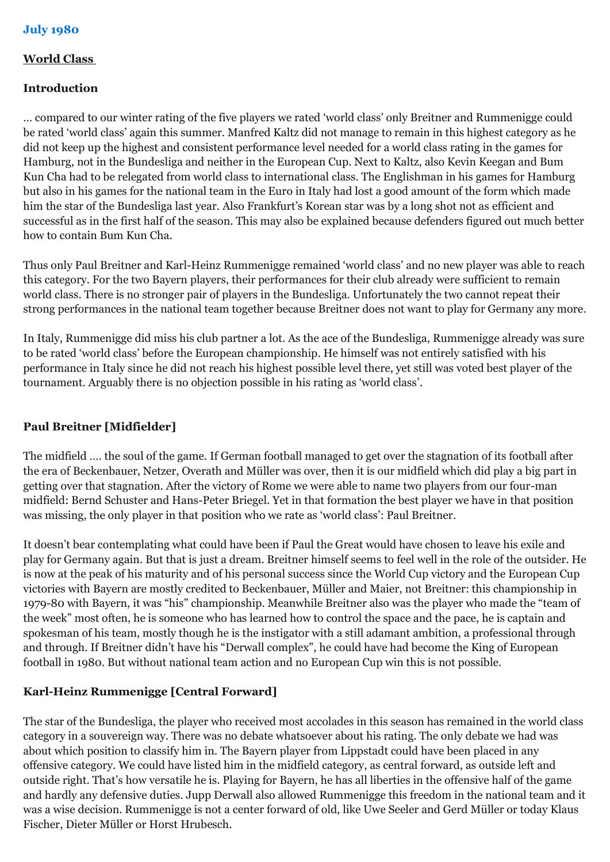## **World Class**

## **Introduction**

… compared to our winter rating of the five players we rated 'world class' only Breitner and Rummenigge could be rated 'world class' again this summer. Manfred Kaltz did not manage to remain in this highest category as he did not keep up the highest and consistent performance level needed for a world class rating in the games for Hamburg, not in the Bundesliga and neither in the European Cup. Next to Kaltz, also Kevin Keegan and Bum Kun Cha had to be relegated from world class to international class. The Englishman in his games for Hamburg but also in his games for the national team in the Euro in Italy had lost a good amount of the form which made him the star of the Bundesliga last year. Also Frankfurt's Korean star was by a long shot not as efficient and successful as in the first half of the season. This may also be explained because defenders figured out much better how to contain Bum Kun Cha.

Thus only Paul Breitner and Karl-Heinz Rummenigge remained 'world class' and no new player was able to reach this category. For the two Bayern players, their performances for their club already were sufficient to remain world class. There is no stronger pair of players in the Bundesliga. Unfortunately the two cannot repeat their strong performances in the national team together because Breitner does not want to play for Germany any more.

In Italy, Rummenigge did miss his club partner a lot. As the ace of the Bundesliga, Rummenigge already was sure to be rated 'world class' before the European championship. He himself was not entirely satisfied with his performance in Italy since he did not reach his highest possible level there, yet still was voted best player of the tournament. Arguably there is no objection possible in his rating as 'world class'.

## **Paul Breitner [Midfielder]**

The midfield …. the soul of the game. If German football managed to get over the stagnation of its football after the era of Beckenbauer, Netzer, Overath and Müller was over, then it is our midfield which did play a big part in getting over that stagnation. After the victory of Rome we were able to name two players from our four-man midfield: Bernd Schuster and Hans-Peter Briegel. Yet in that formation the best player we have in that position was missing, the only player in that position who we rate as 'world class': Paul Breitner.

It doesn't bear contemplating what could have been if Paul the Great would have chosen to leave his exile and play for Germany again. But that is just a dream. Breitner himself seems to feel well in the role of the outsider. He is now at the peak of his maturity and of his personal success since the World Cup victory and the European Cup victories with Bayern are mostly credited to Beckenbauer, Müller and Maier, not Breitner: this championship in 1979-80 with Bayern, it was "his" championship. Meanwhile Breitner also was the player who made the "team of the week" most often, he is someone who has learned how to control the space and the pace, he is captain and spokesman of his team, mostly though he is the instigator with a still adamant ambition, a professional through and through. If Breitner didn't have his "Derwall complex", he could have had become the King of European football in 1980. But without national team action and no European Cup win this is not possible.

## **Karl-Heinz Rummenigge [Central Forward]**

The star of the Bundesliga, the player who received most accolades in this season has remained in the world class category in a souvereign way. There was no debate whatsoever about his rating. The only debate we had was about which position to classify him in. The Bayern player from Lippstadt could have been placed in any offensive category. We could have listed him in the midfield category, as central forward, as outside left and outside right. That's how versatile he is. Playing for Bayern, he has all liberties in the offensive half of the game and hardly any defensive duties. Jupp Derwall also allowed Rummenigge this freedom in the national team and it was a wise decision. Rummenigge is not a center forward of old, like Uwe Seeler and Gerd Müller or today Klaus Fischer, Dieter Müller or Horst Hrubesch.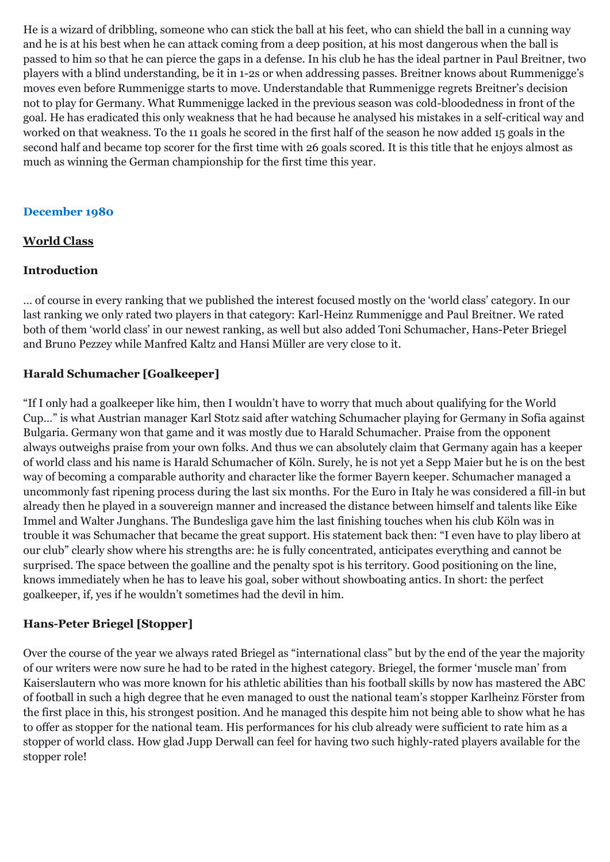He is a wizard of dribbling, someone who can stick the ball at his feet, who can shield the ball in a cunning way and he is at his best when he can attack coming from a deep position, at his most dangerous when the ball is passed to him so that he can pierce the gaps in a defense. In his club he has the ideal partner in Paul Breitner, two players with a blind understanding, be it in 1-2s or when addressing passes. Breitner knows about Rummenigge's moves even before Rummenigge starts to move. Understandable that Rummenigge regrets Breitner's decision not to play for Germany. What Rummenigge lacked in the previous season was cold-bloodedness in front of the goal. He has eradicated this only weakness that he had because he analysed his mistakes in a self-critical way and worked on that weakness. To the 11 goals he scored in the first half of the season he now added 15 goals in the second half and became top scorer for the first time with 26 goals scored. It is this title that he enjoys almost as much as winning the German championship for the first time this year.

## **December 1980**

### **World Class**

### **Introduction**

… of course in every ranking that we published the interest focused mostly on the 'world class' category. In our last ranking we only rated two players in that category: Karl-Heinz Rummenigge and Paul Breitner. We rated both of them 'world class' in our newest ranking, as well but also added Toni Schumacher, Hans-Peter Briegel and Bruno Pezzey while Manfred Kaltz and Hansi Müller are very close to it.

## **Harald Schumacher [Goalkeeper]**

"If I only had a goalkeeper like him, then I wouldn't have to worry that much about qualifying for the World Cup…" is what Austrian manager Karl Stotz said after watching Schumacher playing for Germany in Sofia against Bulgaria. Germany won that game and it was mostly due to Harald Schumacher. Praise from the opponent always outweighs praise from your own folks. And thus we can absolutely claim that Germany again has a keeper of world class and his name is Harald Schumacher of Köln. Surely, he is not yet a Sepp Maier but he is on the best way of becoming a comparable authority and character like the former Bayern keeper. Schumacher managed a uncommonly fast ripening process during the last six months. For the Euro in Italy he was considered a fill-in but already then he played in a souvereign manner and increased the distance between himself and talents like Eike Immel and Walter Junghans. The Bundesliga gave him the last finishing touches when his club Köln was in trouble it was Schumacher that became the great support. His statement back then: "I even have to play libero at our club" clearly show where his strengths are: he is fully concentrated, anticipates everything and cannot be surprised. The space between the goalline and the penalty spot is his territory. Good positioning on the line, knows immediately when he has to leave his goal, sober without showboating antics. In short: the perfect goalkeeper, if, yes if he wouldn't sometimes had the devil in him.

## **Hans-Peter Briegel [Stopper]**

Over the course of the year we always rated Briegel as "international class" but by the end of the year the majority of our writers were now sure he had to be rated in the highest category. Briegel, the former 'muscle man' from Kaiserslautern who was more known for his athletic abilities than his football skills by now has mastered the ABC of football in such a high degree that he even managed to oust the national team's stopper Karlheinz Förster from the first place in this, his strongest position. And he managed this despite him not being able to show what he has to offer as stopper for the national team. His performances for his club already were sufficient to rate him as a stopper of world class. How glad Jupp Derwall can feel for having two such highly-rated players available for the stopper role!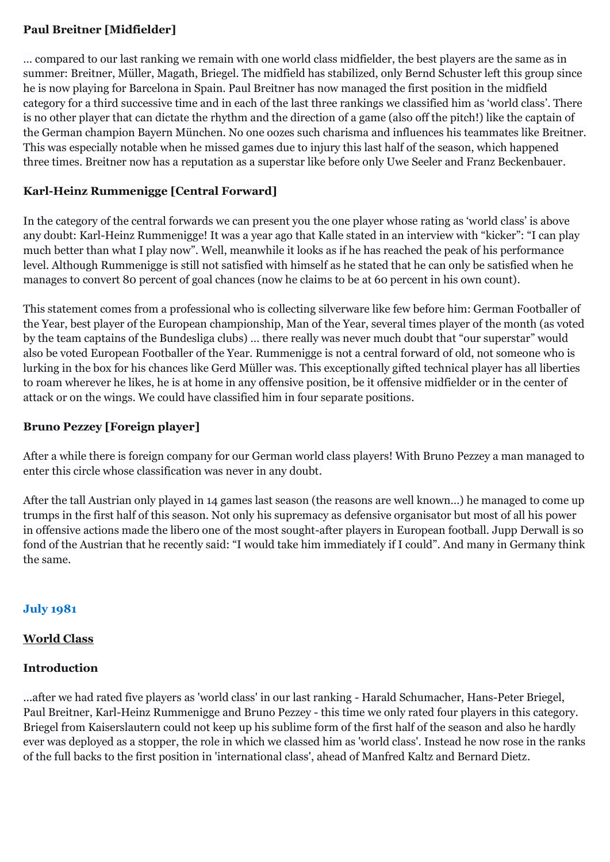## **Paul Breitner [Midfielder]**

… compared to our last ranking we remain with one world class midfielder, the best players are the same as in summer: Breitner, Müller, Magath, Briegel. The midfield has stabilized, only Bernd Schuster left this group since he is now playing for Barcelona in Spain. Paul Breitner has now managed the first position in the midfield category for a third successive time and in each of the last three rankings we classified him as 'world class'. There is no other player that can dictate the rhythm and the direction of a game (also off the pitch!) like the captain of the German champion Bayern München. No one oozes such charisma and influences his teammates like Breitner. This was especially notable when he missed games due to injury this last half of the season, which happened three times. Breitner now has a reputation as a superstar like before only Uwe Seeler and Franz Beckenbauer.

## **Karl-Heinz Rummenigge [Central Forward]**

In the category of the central forwards we can present you the one player whose rating as 'world class' is above any doubt: Karl-Heinz Rummenigge! It was a year ago that Kalle stated in an interview with "kicker": "I can play much better than what I play now". Well, meanwhile it looks as if he has reached the peak of his performance level. Although Rummenigge is still not satisfied with himself as he stated that he can only be satisfied when he manages to convert 80 percent of goal chances (now he claims to be at 60 percent in his own count).

This statement comes from a professional who is collecting silverware like few before him: German Footballer of the Year, best player of the European championship, Man of the Year, several times player of the month (as voted by the team captains of the Bundesliga clubs) … there really was never much doubt that "our superstar" would also be voted European Footballer of the Year. Rummenigge is not a central forward of old, not someone who is lurking in the box for his chances like Gerd Müller was. This exceptionally gifted technical player has all liberties to roam wherever he likes, he is at home in any offensive position, be it offensive midfielder or in the center of attack or on the wings. We could have classified him in four separate positions.

## **Bruno Pezzey [Foreign player]**

After a while there is foreign company for our German world class players! With Bruno Pezzey a man managed to enter this circle whose classification was never in any doubt.

After the tall Austrian only played in 14 games last season (the reasons are well known…) he managed to come up trumps in the first half of this season. Not only his supremacy as defensive organisator but most of all his power in offensive actions made the libero one of the most sought-after players in European football. Jupp Derwall is so fond of the Austrian that he recently said: "I would take him immediately if I could". And many in Germany think the same.

## **July 1981**

## **World Class**

#### **Introduction**

...after we had rated five players as 'world class' in our last ranking - Harald Schumacher, Hans-Peter Briegel, Paul Breitner, Karl-Heinz Rummenigge and Bruno Pezzey - this time we only rated four players in this category. Briegel from Kaiserslautern could not keep up his sublime form of the first half of the season and also he hardly ever was deployed as a stopper, the role in which we classed him as 'world class'. Instead he now rose in the ranks of the full backs to the first position in 'international class', ahead of Manfred Kaltz and Bernard Dietz.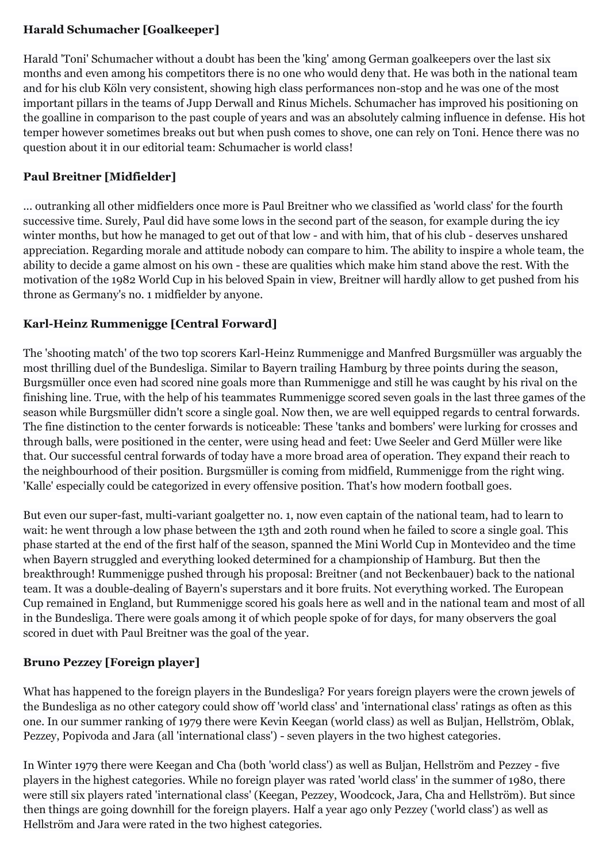# **Harald Schumacher [Goalkeeper]**

Harald 'Toni' Schumacher without a doubt has been the 'king' among German goalkeepers over the last six months and even among his competitors there is no one who would deny that. He was both in the national team and for his club Köln very consistent, showing high class performances non-stop and he was one of the most important pillars in the teams of Jupp Derwall and Rinus Michels. Schumacher has improved his positioning on the goalline in comparison to the past couple of years and was an absolutely calming influence in defense. His hot temper however sometimes breaks out but when push comes to shove, one can rely on Toni. Hence there was no question about it in our editorial team: Schumacher is world class!

# **Paul Breitner [Midfielder]**

... outranking all other midfielders once more is Paul Breitner who we classified as 'world class' for the fourth successive time. Surely, Paul did have some lows in the second part of the season, for example during the icy winter months, but how he managed to get out of that low - and with him, that of his club - deserves unshared appreciation. Regarding morale and attitude nobody can compare to him. The ability to inspire a whole team, the ability to decide a game almost on his own - these are qualities which make him stand above the rest. With the motivation of the 1982 World Cup in his beloved Spain in view, Breitner will hardly allow to get pushed from his throne as Germany's no. 1 midfielder by anyone.

# **Karl-Heinz Rummenigge [Central Forward]**

The 'shooting match' of the two top scorers Karl-Heinz Rummenigge and Manfred Burgsmüller was arguably the most thrilling duel of the Bundesliga. Similar to Bayern trailing Hamburg by three points during the season, Burgsmüller once even had scored nine goals more than Rummenigge and still he was caught by his rival on the finishing line. True, with the help of his teammates Rummenigge scored seven goals in the last three games of the season while Burgsmüller didn't score a single goal. Now then, we are well equipped regards to central forwards. The fine distinction to the center forwards is noticeable: These 'tanks and bombers' were lurking for crosses and through balls, were positioned in the center, were using head and feet: Uwe Seeler and Gerd Müller were like that. Our successful central forwards of today have a more broad area of operation. They expand their reach to the neighbourhood of their position. Burgsmüller is coming from midfield, Rummenigge from the right wing. 'Kalle' especially could be categorized in every offensive position. That's how modern football goes.

But even our super-fast, multi-variant goalgetter no. 1, now even captain of the national team, had to learn to wait: he went through a low phase between the 13th and 20th round when he failed to score a single goal. This phase started at the end of the first half of the season, spanned the Mini World Cup in Montevideo and the time when Bayern struggled and everything looked determined for a championship of Hamburg. But then the breakthrough! Rummenigge pushed through his proposal: Breitner (and not Beckenbauer) back to the national team. It was a double-dealing of Bayern's superstars and it bore fruits. Not everything worked. The European Cup remained in England, but Rummenigge scored his goals here as well and in the national team and most of all in the Bundesliga. There were goals among it of which people spoke of for days, for many observers the goal scored in duet with Paul Breitner was the goal of the year.

# **Bruno Pezzey [Foreign player]**

What has happened to the foreign players in the Bundesliga? For years foreign players were the crown jewels of the Bundesliga as no other category could show off 'world class' and 'international class' ratings as often as this one. In our summer ranking of 1979 there were Kevin Keegan (world class) as well as Buljan, Hellström, Oblak, Pezzey, Popivoda and Jara (all 'international class') - seven players in the two highest categories.

In Winter 1979 there were Keegan and Cha (both 'world class') as well as Buljan, Hellström and Pezzey - five players in the highest categories. While no foreign player was rated 'world class' in the summer of 1980, there were still six players rated 'international class' (Keegan, Pezzey, Woodcock, Jara, Cha and Hellström). But since then things are going downhill for the foreign players. Half a year ago only Pezzey ('world class') as well as Hellström and Jara were rated in the two highest categories.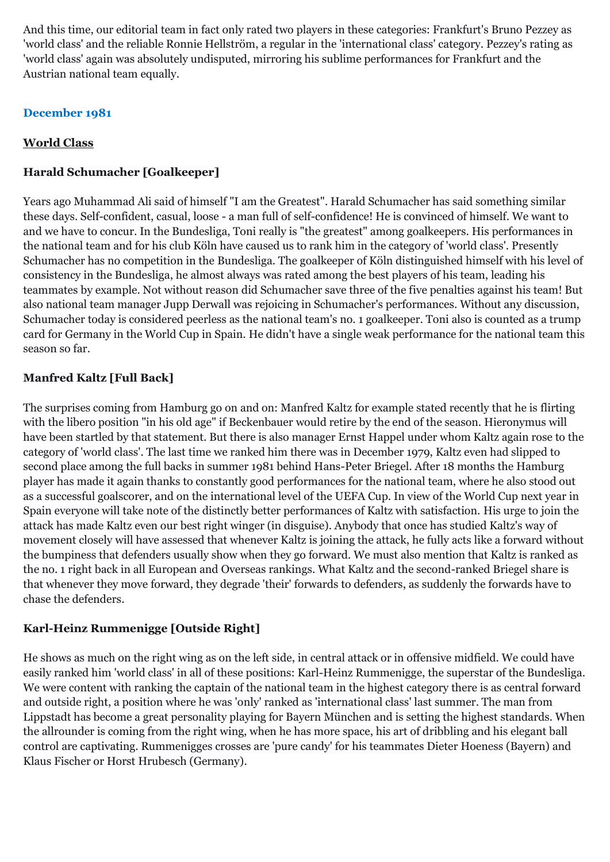And this time, our editorial team in fact only rated two players in these categories: Frankfurt's Bruno Pezzey as 'world class' and the reliable Ronnie Hellström, a regular in the 'international class' category. Pezzey's rating as 'world class' again was absolutely undisputed, mirroring his sublime performances for Frankfurt and the Austrian national team equally.

## **December 1981**

## **World Class**

## **Harald Schumacher [Goalkeeper]**

Years ago Muhammad Ali said of himself "I am the Greatest". Harald Schumacher has said something similar these days. Self-confident, casual, loose - a man full of self-confidence! He is convinced of himself. We want to and we have to concur. In the Bundesliga, Toni really is "the greatest" among goalkeepers. His performances in the national team and for his club Köln have caused us to rank him in the category of 'world class'. Presently Schumacher has no competition in the Bundesliga. The goalkeeper of Köln distinguished himself with his level of consistency in the Bundesliga, he almost always was rated among the best players of his team, leading his teammates by example. Not without reason did Schumacher save three of the five penalties against his team! But also national team manager Jupp Derwall was rejoicing in Schumacher's performances. Without any discussion, Schumacher today is considered peerless as the national team's no. 1 goalkeeper. Toni also is counted as a trump card for Germany in the World Cup in Spain. He didn't have a single weak performance for the national team this season so far.

# **Manfred Kaltz [Full Back]**

The surprises coming from Hamburg go on and on: Manfred Kaltz for example stated recently that he is flirting with the libero position "in his old age" if Beckenbauer would retire by the end of the season. Hieronymus will have been startled by that statement. But there is also manager Ernst Happel under whom Kaltz again rose to the category of 'world class'. The last time we ranked him there was in December 1979, Kaltz even had slipped to second place among the full backs in summer 1981 behind Hans-Peter Briegel. After 18 months the Hamburg player has made it again thanks to constantly good performances for the national team, where he also stood out as a successful goalscorer, and on the international level of the UEFA Cup. In view of the World Cup next year in Spain everyone will take note of the distinctly better performances of Kaltz with satisfaction. His urge to join the attack has made Kaltz even our best right winger (in disguise). Anybody that once has studied Kaltz's way of movement closely will have assessed that whenever Kaltz is joining the attack, he fully acts like a forward without the bumpiness that defenders usually show when they go forward. We must also mention that Kaltz is ranked as the no. 1 right back in all European and Overseas rankings. What Kaltz and the second-ranked Briegel share is that whenever they move forward, they degrade 'their' forwards to defenders, as suddenly the forwards have to chase the defenders.

## **Karl-Heinz Rummenigge [Outside Right]**

He shows as much on the right wing as on the left side, in central attack or in offensive midfield. We could have easily ranked him 'world class' in all of these positions: Karl-Heinz Rummenigge, the superstar of the Bundesliga. We were content with ranking the captain of the national team in the highest category there is as central forward and outside right, a position where he was 'only' ranked as 'international class' last summer. The man from Lippstadt has become a great personality playing for Bayern München and is setting the highest standards. When the allrounder is coming from the right wing, when he has more space, his art of dribbling and his elegant ball control are captivating. Rummenigges crosses are 'pure candy' for his teammates Dieter Hoeness (Bayern) and Klaus Fischer or Horst Hrubesch (Germany).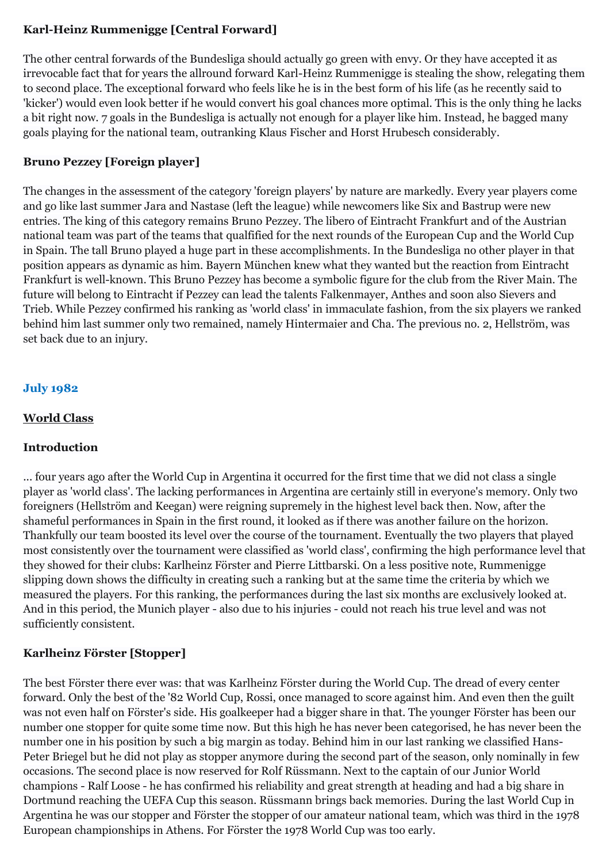# **Karl-Heinz Rummenigge [Central Forward]**

The other central forwards of the Bundesliga should actually go green with envy. Or they have accepted it as irrevocable fact that for years the allround forward Karl-Heinz Rummenigge is stealing the show, relegating them to second place. The exceptional forward who feels like he is in the best form of his life (as he recently said to 'kicker') would even look better if he would convert his goal chances more optimal. This is the only thing he lacks a bit right now. 7 goals in the Bundesliga is actually not enough for a player like him. Instead, he bagged many goals playing for the national team, outranking Klaus Fischer and Horst Hrubesch considerably.

## **Bruno Pezzey [Foreign player]**

The changes in the assessment of the category 'foreign players' by nature are markedly. Every year players come and go like last summer Jara and Nastase (left the league) while newcomers like Six and Bastrup were new entries. The king of this category remains Bruno Pezzey. The libero of Eintracht Frankfurt and of the Austrian national team was part of the teams that qualfified for the next rounds of the European Cup and the World Cup in Spain. The tall Bruno played a huge part in these accomplishments. In the Bundesliga no other player in that position appears as dynamic as him. Bayern München knew what they wanted but the reaction from Eintracht Frankfurt is well-known. This Bruno Pezzey has become a symbolic figure for the club from the River Main. The future will belong to Eintracht if Pezzey can lead the talents Falkenmayer, Anthes and soon also Sievers and Trieb. While Pezzey confirmed his ranking as 'world class' in immaculate fashion, from the six players we ranked behind him last summer only two remained, namely Hintermaier and Cha. The previous no. 2, Hellström, was set back due to an injury.

## **July 1982**

## **World Class**

## **Introduction**

... four years ago after the World Cup in Argentina it occurred for the first time that we did not class a single player as 'world class'. The lacking performances in Argentina are certainly still in everyone's memory. Only two foreigners (Hellström and Keegan) were reigning supremely in the highest level back then. Now, after the shameful performances in Spain in the first round, it looked as if there was another failure on the horizon. Thankfully our team boosted its level over the course of the tournament. Eventually the two players that played most consistently over the tournament were classified as 'world class', confirming the high performance level that they showed for their clubs: Karlheinz Förster and Pierre Littbarski. On a less positive note, Rummenigge slipping down shows the difficulty in creating such a ranking but at the same time the criteria by which we measured the players. For this ranking, the performances during the last six months are exclusively looked at. And in this period, the Munich player - also due to his injuries - could not reach his true level and was not sufficiently consistent.

## **Karlheinz Förster [Stopper]**

The best Förster there ever was: that was Karlheinz Förster during the World Cup. The dread of every center forward. Only the best of the '82 World Cup, Rossi, once managed to score against him. And even then the guilt was not even half on Förster's side. His goalkeeper had a bigger share in that. The younger Förster has been our number one stopper for quite some time now. But this high he has never been categorised, he has never been the number one in his position by such a big margin as today. Behind him in our last ranking we classified Hans-Peter Briegel but he did not play as stopper anymore during the second part of the season, only nominally in few occasions. The second place is now reserved for Rolf Rüssmann. Next to the captain of our Junior World champions - Ralf Loose - he has confirmed his reliability and great strength at heading and had a big share in Dortmund reaching the UEFA Cup this season. Rüssmann brings back memories. During the last World Cup in Argentina he was our stopper and Förster the stopper of our amateur national team, which was third in the 1978 European championships in Athens. For Förster the 1978 World Cup was too early.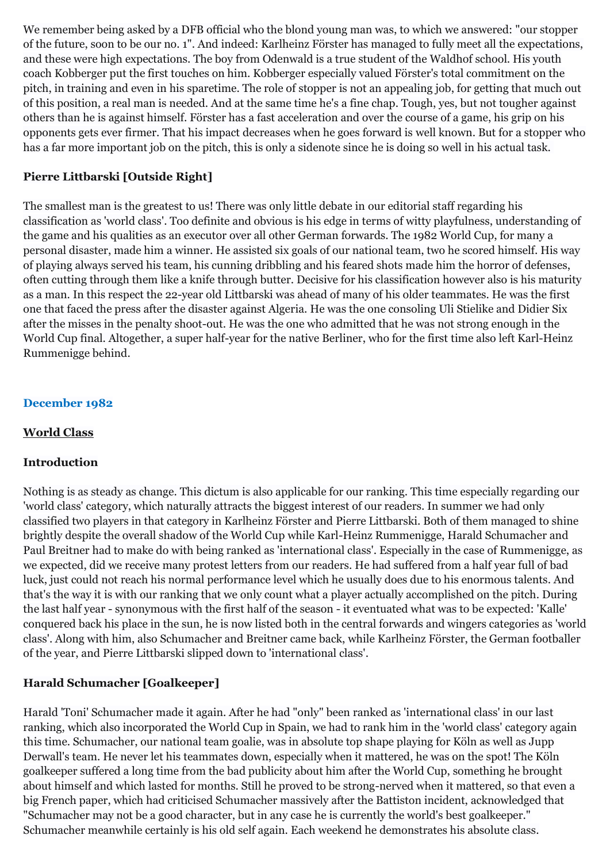We remember being asked by a DFB official who the blond young man was, to which we answered: "our stopper of the future, soon to be our no. 1". And indeed: Karlheinz Förster has managed to fully meet all the expectations, and these were high expectations. The boy from Odenwald is a true student of the Waldhof school. His youth coach Kobberger put the first touches on him. Kobberger especially valued Förster's total commitment on the pitch, in training and even in his sparetime. The role of stopper is not an appealing job, for getting that much out of this position, a real man is needed. And at the same time he's a fine chap. Tough, yes, but not tougher against others than he is against himself. Förster has a fast acceleration and over the course of a game, his grip on his opponents gets ever firmer. That his impact decreases when he goes forward is well known. But for a stopper who has a far more important job on the pitch, this is only a sidenote since he is doing so well in his actual task.

## **Pierre Littbarski [Outside Right]**

The smallest man is the greatest to us! There was only little debate in our editorial staff regarding his classification as 'world class'. Too definite and obvious is his edge in terms of witty playfulness, understanding of the game and his qualities as an executor over all other German forwards. The 1982 World Cup, for many a personal disaster, made him a winner. He assisted six goals of our national team, two he scored himself. His way of playing always served his team, his cunning dribbling and his feared shots made him the horror of defenses, often cutting through them like a knife through butter. Decisive for his classification however also is his maturity as a man. In this respect the 22-year old Littbarski was ahead of many of his older teammates. He was the first one that faced the press after the disaster against Algeria. He was the one consoling Uli Stielike and Didier Six after the misses in the penalty shoot-out. He was the one who admitted that he was not strong enough in the World Cup final. Altogether, a super half-year for the native Berliner, who for the first time also left Karl-Heinz Rummenigge behind.

## **December 1982**

### **World Class**

## **Introduction**

Nothing is as steady as change. This dictum is also applicable for our ranking. This time especially regarding our 'world class' category, which naturally attracts the biggest interest of our readers. In summer we had only classified two players in that category in Karlheinz Förster and Pierre Littbarski. Both of them managed to shine brightly despite the overall shadow of the World Cup while Karl-Heinz Rummenigge, Harald Schumacher and Paul Breitner had to make do with being ranked as 'international class'. Especially in the case of Rummenigge, as we expected, did we receive many protest letters from our readers. He had suffered from a half year full of bad luck, just could not reach his normal performance level which he usually does due to his enormous talents. And that's the way it is with our ranking that we only count what a player actually accomplished on the pitch. During the last half year - synonymous with the first half of the season - it eventuated what was to be expected: 'Kalle' conquered back his place in the sun, he is now listed both in the central forwards and wingers categories as 'world class'. Along with him, also Schumacher and Breitner came back, while Karlheinz Förster, the German footballer of the year, and Pierre Littbarski slipped down to 'international class'.

# **Harald Schumacher [Goalkeeper]**

Harald 'Toni' Schumacher made it again. After he had "only" been ranked as 'international class' in our last ranking, which also incorporated the World Cup in Spain, we had to rank him in the 'world class' category again this time. Schumacher, our national team goalie, was in absolute top shape playing for Köln as well as Jupp Derwall's team. He never let his teammates down, especially when it mattered, he was on the spot! The Köln goalkeeper suffered a long time from the bad publicity about him after the World Cup, something he brought about himself and which lasted for months. Still he proved to be strong-nerved when it mattered, so that even a big French paper, which had criticised Schumacher massively after the Battiston incident, acknowledged that "Schumacher may not be a good character, but in any case he is currently the world's best goalkeeper." Schumacher meanwhile certainly is his old self again. Each weekend he demonstrates his absolute class.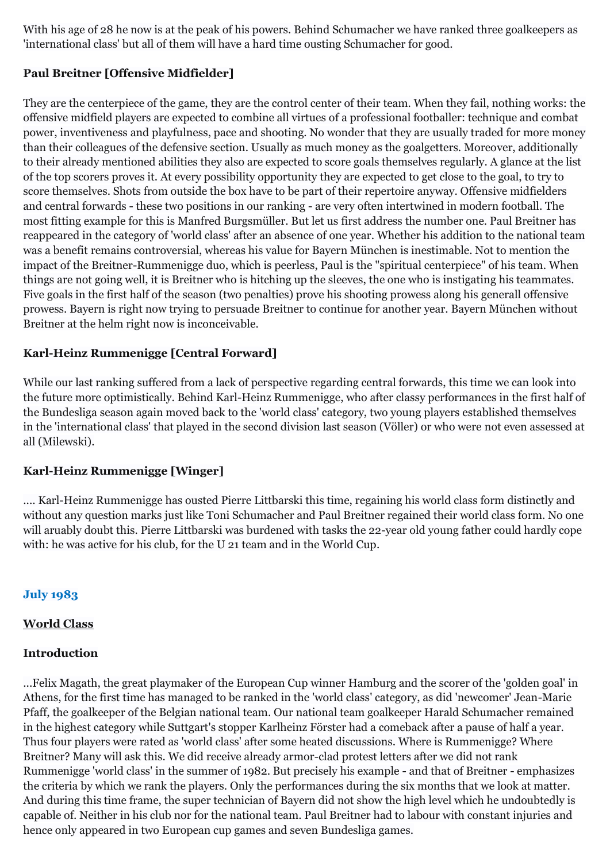With his age of 28 he now is at the peak of his powers. Behind Schumacher we have ranked three goalkeepers as 'international class' but all of them will have a hard time ousting Schumacher for good.

## **Paul Breitner [Offensive Midfielder]**

They are the centerpiece of the game, they are the control center of their team. When they fail, nothing works: the offensive midfield players are expected to combine all virtues of a professional footballer: technique and combat power, inventiveness and playfulness, pace and shooting. No wonder that they are usually traded for more money than their colleagues of the defensive section. Usually as much money as the goalgetters. Moreover, additionally to their already mentioned abilities they also are expected to score goals themselves regularly. A glance at the list of the top scorers proves it. At every possibility opportunity they are expected to get close to the goal, to try to score themselves. Shots from outside the box have to be part of their repertoire anyway. Offensive midfielders and central forwards - these two positions in our ranking - are very often intertwined in modern football. The most fitting example for this is Manfred Burgsmüller. But let us first address the number one. Paul Breitner has reappeared in the category of 'world class' after an absence of one year. Whether his addition to the national team was a benefit remains controversial, whereas his value for Bayern München is inestimable. Not to mention the impact of the Breitner-Rummenigge duo, which is peerless, Paul is the "spiritual centerpiece" of his team. When things are not going well, it is Breitner who is hitching up the sleeves, the one who is instigating his teammates. Five goals in the first half of the season (two penalties) prove his shooting prowess along his generall offensive prowess. Bayern is right now trying to persuade Breitner to continue for another year. Bayern München without Breitner at the helm right now is inconceivable.

## **Karl-Heinz Rummenigge [Central Forward]**

While our last ranking suffered from a lack of perspective regarding central forwards, this time we can look into the future more optimistically. Behind Karl-Heinz Rummenigge, who after classy performances in the first half of the Bundesliga season again moved back to the 'world class' category, two young players established themselves in the 'international class' that played in the second division last season (Völler) or who were not even assessed at all (Milewski).

## **Karl-Heinz Rummenigge [Winger]**

.... Karl-Heinz Rummenigge has ousted Pierre Littbarski this time, regaining his world class form distinctly and without any question marks just like Toni Schumacher and Paul Breitner regained their world class form. No one will aruably doubt this. Pierre Littbarski was burdened with tasks the 22-year old young father could hardly cope with: he was active for his club, for the U 21 team and in the World Cup.

## **July 1983**

#### **World Class**

#### **Introduction**

...Felix Magath, the great playmaker of the European Cup winner Hamburg and the scorer of the 'golden goal' in Athens, for the first time has managed to be ranked in the 'world class' category, as did 'newcomer' Jean-Marie Pfaff, the goalkeeper of the Belgian national team. Our national team goalkeeper Harald Schumacher remained in the highest category while Suttgart's stopper Karlheinz Förster had a comeback after a pause of half a year. Thus four players were rated as 'world class' after some heated discussions. Where is Rummenigge? Where Breitner? Many will ask this. We did receive already armor-clad protest letters after we did not rank Rummenigge 'world class' in the summer of 1982. But precisely his example - and that of Breitner - emphasizes the criteria by which we rank the players. Only the performances during the six months that we look at matter. And during this time frame, the super technician of Bayern did not show the high level which he undoubtedly is capable of. Neither in his club nor for the national team. Paul Breitner had to labour with constant injuries and hence only appeared in two European cup games and seven Bundesliga games.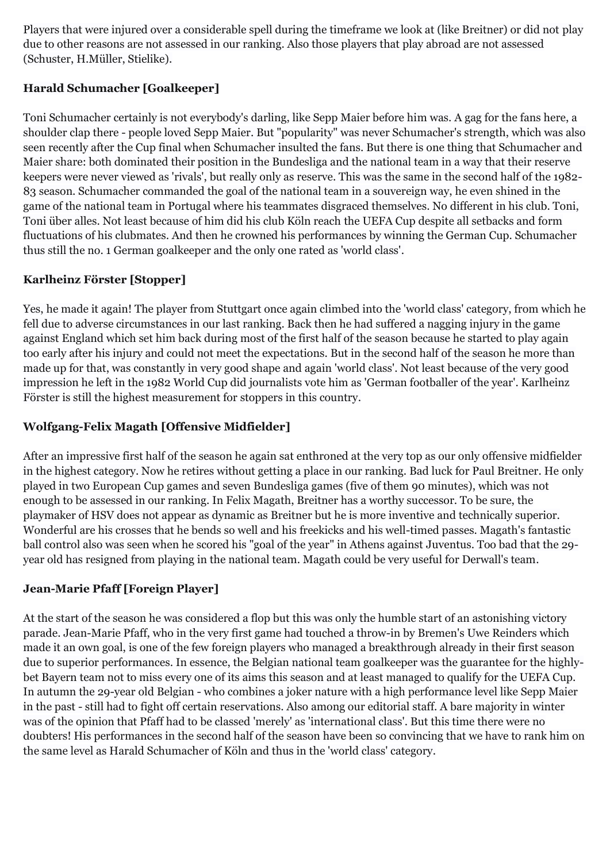Players that were injured over a considerable spell during the timeframe we look at (like Breitner) or did not play due to other reasons are not assessed in our ranking. Also those players that play abroad are not assessed (Schuster, H.Müller, Stielike).

# **Harald Schumacher [Goalkeeper]**

Toni Schumacher certainly is not everybody's darling, like Sepp Maier before him was. A gag for the fans here, a shoulder clap there - people loved Sepp Maier. But "popularity" was never Schumacher's strength, which was also seen recently after the Cup final when Schumacher insulted the fans. But there is one thing that Schumacher and Maier share: both dominated their position in the Bundesliga and the national team in a way that their reserve keepers were never viewed as 'rivals', but really only as reserve. This was the same in the second half of the 1982- 83 season. Schumacher commanded the goal of the national team in a souvereign way, he even shined in the game of the national team in Portugal where his teammates disgraced themselves. No different in his club. Toni, Toni über alles. Not least because of him did his club Köln reach the UEFA Cup despite all setbacks and form fluctuations of his clubmates. And then he crowned his performances by winning the German Cup. Schumacher thus still the no. 1 German goalkeeper and the only one rated as 'world class'.

# **Karlheinz Förster [Stopper]**

Yes, he made it again! The player from Stuttgart once again climbed into the 'world class' category, from which he fell due to adverse circumstances in our last ranking. Back then he had suffered a nagging injury in the game against England which set him back during most of the first half of the season because he started to play again too early after his injury and could not meet the expectations. But in the second half of the season he more than made up for that, was constantly in very good shape and again 'world class'. Not least because of the very good impression he left in the 1982 World Cup did journalists vote him as 'German footballer of the year'. Karlheinz Förster is still the highest measurement for stoppers in this country.

# **Wolfgang-Felix Magath [Offensive Midfielder]**

After an impressive first half of the season he again sat enthroned at the very top as our only offensive midfielder in the highest category. Now he retires without getting a place in our ranking. Bad luck for Paul Breitner. He only played in two European Cup games and seven Bundesliga games (five of them 90 minutes), which was not enough to be assessed in our ranking. In Felix Magath, Breitner has a worthy successor. To be sure, the playmaker of HSV does not appear as dynamic as Breitner but he is more inventive and technically superior. Wonderful are his crosses that he bends so well and his freekicks and his well-timed passes. Magath's fantastic ball control also was seen when he scored his "goal of the year" in Athens against Juventus. Too bad that the 29 year old has resigned from playing in the national team. Magath could be very useful for Derwall's team.

# **Jean-Marie Pfaff [Foreign Player]**

At the start of the season he was considered a flop but this was only the humble start of an astonishing victory parade. Jean-Marie Pfaff, who in the very first game had touched a throw-in by Bremen's Uwe Reinders which made it an own goal, is one of the few foreign players who managed a breakthrough already in their first season due to superior performances. In essence, the Belgian national team goalkeeper was the guarantee for the highlybet Bayern team not to miss every one of its aims this season and at least managed to qualify for the UEFA Cup. In autumn the 29-year old Belgian - who combines a joker nature with a high performance level like Sepp Maier in the past - still had to fight off certain reservations. Also among our editorial staff. A bare majority in winter was of the opinion that Pfaff had to be classed 'merely' as 'international class'. But this time there were no doubters! His performances in the second half of the season have been so convincing that we have to rank him on the same level as Harald Schumacher of Köln and thus in the 'world class' category.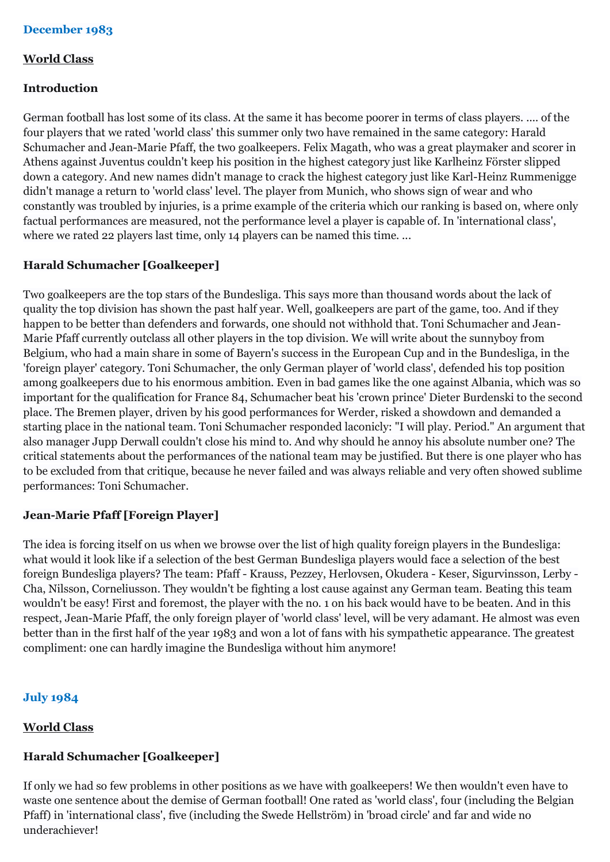## **December 1983**

#### **World Class**

### **Introduction**

German football has lost some of its class. At the same it has become poorer in terms of class players. .... of the four players that we rated 'world class' this summer only two have remained in the same category: Harald Schumacher and Jean-Marie Pfaff, the two goalkeepers. Felix Magath, who was a great playmaker and scorer in Athens against Juventus couldn't keep his position in the highest category just like Karlheinz Förster slipped down a category. And new names didn't manage to crack the highest category just like Karl-Heinz Rummenigge didn't manage a return to 'world class' level. The player from Munich, who shows sign of wear and who constantly was troubled by injuries, is a prime example of the criteria which our ranking is based on, where only factual performances are measured, not the performance level a player is capable of. In 'international class', where we rated 22 players last time, only 14 players can be named this time. ...

## **Harald Schumacher [Goalkeeper]**

Two goalkeepers are the top stars of the Bundesliga. This says more than thousand words about the lack of quality the top division has shown the past half year. Well, goalkeepers are part of the game, too. And if they happen to be better than defenders and forwards, one should not withhold that. Toni Schumacher and Jean-Marie Pfaff currently outclass all other players in the top division. We will write about the sunnyboy from Belgium, who had a main share in some of Bayern's success in the European Cup and in the Bundesliga, in the 'foreign player' category. Toni Schumacher, the only German player of 'world class', defended his top position among goalkeepers due to his enormous ambition. Even in bad games like the one against Albania, which was so important for the qualification for France 84, Schumacher beat his 'crown prince' Dieter Burdenski to the second place. The Bremen player, driven by his good performances for Werder, risked a showdown and demanded a starting place in the national team. Toni Schumacher responded laconicly: "I will play. Period." An argument that also manager Jupp Derwall couldn't close his mind to. And why should he annoy his absolute number one? The critical statements about the performances of the national team may be justified. But there is one player who has to be excluded from that critique, because he never failed and was always reliable and very often showed sublime performances: Toni Schumacher.

## **Jean-Marie Pfaff [Foreign Player]**

The idea is forcing itself on us when we browse over the list of high quality foreign players in the Bundesliga: what would it look like if a selection of the best German Bundesliga players would face a selection of the best foreign Bundesliga players? The team: Pfaff - Krauss, Pezzey, Herlovsen, Okudera - Keser, Sigurvinsson, Lerby - Cha, Nilsson, Corneliusson. They wouldn't be fighting a lost cause against any German team. Beating this team wouldn't be easy! First and foremost, the player with the no. 1 on his back would have to be beaten. And in this respect, Jean-Marie Pfaff, the only foreign player of 'world class' level, will be very adamant. He almost was even better than in the first half of the year 1983 and won a lot of fans with his sympathetic appearance. The greatest compliment: one can hardly imagine the Bundesliga without him anymore!

## **July 1984**

## **World Class**

## **Harald Schumacher [Goalkeeper]**

If only we had so few problems in other positions as we have with goalkeepers! We then wouldn't even have to waste one sentence about the demise of German football! One rated as 'world class', four (including the Belgian Pfaff) in 'international class', five (including the Swede Hellström) in 'broad circle' and far and wide no underachiever!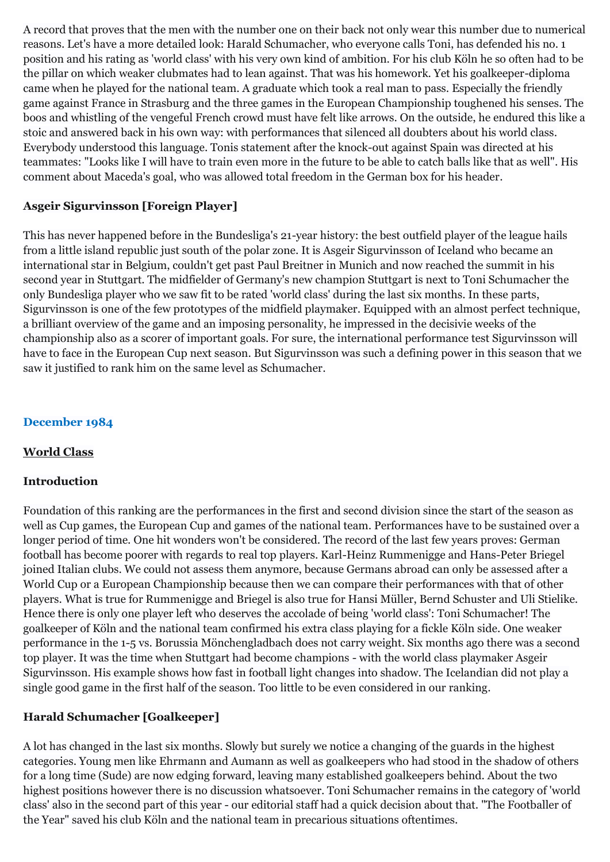A record that proves that the men with the number one on their back not only wear this number due to numerical reasons. Let's have a more detailed look: Harald Schumacher, who everyone calls Toni, has defended his no. 1 position and his rating as 'world class' with his very own kind of ambition. For his club Köln he so often had to be the pillar on which weaker clubmates had to lean against. That was his homework. Yet his goalkeeper-diploma came when he played for the national team. A graduate which took a real man to pass. Especially the friendly game against France in Strasburg and the three games in the European Championship toughened his senses. The boos and whistling of the vengeful French crowd must have felt like arrows. On the outside, he endured this like a stoic and answered back in his own way: with performances that silenced all doubters about his world class. Everybody understood this language. Tonis statement after the knock-out against Spain was directed at his teammates: "Looks like I will have to train even more in the future to be able to catch balls like that as well". His comment about Maceda's goal, who was allowed total freedom in the German box for his header.

## **Asgeir Sigurvinsson [Foreign Player]**

This has never happened before in the Bundesliga's 21-year history: the best outfield player of the league hails from a little island republic just south of the polar zone. It is Asgeir Sigurvinsson of Iceland who became an international star in Belgium, couldn't get past Paul Breitner in Munich and now reached the summit in his second year in Stuttgart. The midfielder of Germany's new champion Stuttgart is next to Toni Schumacher the only Bundesliga player who we saw fit to be rated 'world class' during the last six months. In these parts, Sigurvinsson is one of the few prototypes of the midfield playmaker. Equipped with an almost perfect technique, a brilliant overview of the game and an imposing personality, he impressed in the decisivie weeks of the championship also as a scorer of important goals. For sure, the international performance test Sigurvinsson will have to face in the European Cup next season. But Sigurvinsson was such a defining power in this season that we saw it justified to rank him on the same level as Schumacher.

## **December 1984**

## **World Class**

## **Introduction**

Foundation of this ranking are the performances in the first and second division since the start of the season as well as Cup games, the European Cup and games of the national team. Performances have to be sustained over a longer period of time. One hit wonders won't be considered. The record of the last few years proves: German football has become poorer with regards to real top players. Karl-Heinz Rummenigge and Hans-Peter Briegel joined Italian clubs. We could not assess them anymore, because Germans abroad can only be assessed after a World Cup or a European Championship because then we can compare their performances with that of other players. What is true for Rummenigge and Briegel is also true for Hansi Müller, Bernd Schuster and Uli Stielike. Hence there is only one player left who deserves the accolade of being 'world class': Toni Schumacher! The goalkeeper of Köln and the national team confirmed his extra class playing for a fickle Köln side. One weaker performance in the 1-5 vs. Borussia Mönchengladbach does not carry weight. Six months ago there was a second top player. It was the time when Stuttgart had become champions - with the world class playmaker Asgeir Sigurvinsson. His example shows how fast in football light changes into shadow. The Icelandian did not play a single good game in the first half of the season. Too little to be even considered in our ranking.

# **Harald Schumacher [Goalkeeper]**

A lot has changed in the last six months. Slowly but surely we notice a changing of the guards in the highest categories. Young men like Ehrmann and Aumann as well as goalkeepers who had stood in the shadow of others for a long time (Sude) are now edging forward, leaving many established goalkeepers behind. About the two highest positions however there is no discussion whatsoever. Toni Schumacher remains in the category of 'world class' also in the second part of this year - our editorial staff had a quick decision about that. "The Footballer of the Year" saved his club Köln and the national team in precarious situations oftentimes.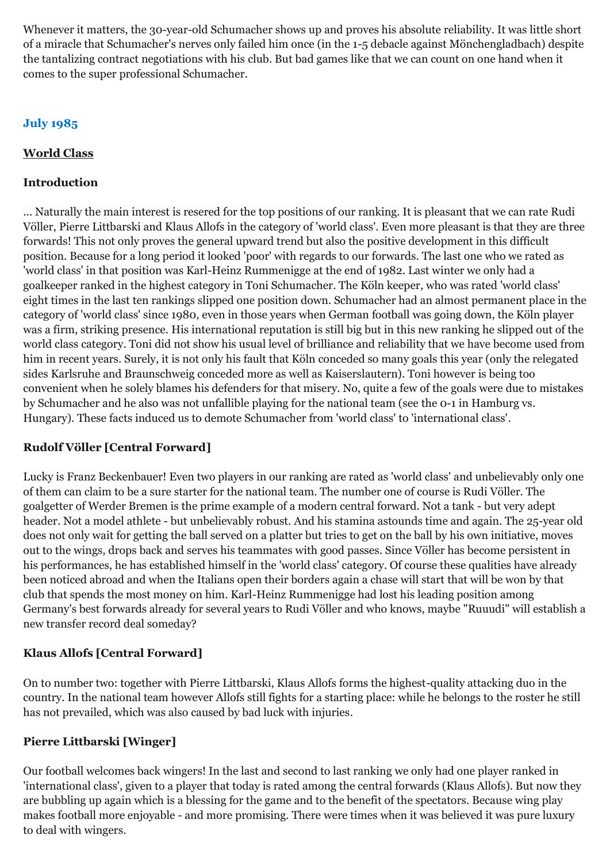Whenever it matters, the 30-year-old Schumacher shows up and proves his absolute reliability. It was little short of a miracle that Schumacher's nerves only failed him once (in the 1-5 debacle against Mönchengladbach) despite the tantalizing contract negotiations with his club. But bad games like that we can count on one hand when it comes to the super professional Schumacher.

# **July 1985**

# **World Class**

## **Introduction**

... Naturally the main interest is resered for the top positions of our ranking. It is pleasant that we can rate Rudi Völler, Pierre Littbarski and Klaus Allofs in the category of 'world class'. Even more pleasant is that they are three forwards! This not only proves the general upward trend but also the positive development in this difficult position. Because for a long period it looked 'poor' with regards to our forwards. The last one who we rated as 'world class' in that position was Karl-Heinz Rummenigge at the end of 1982. Last winter we only had a goalkeeper ranked in the highest category in Toni Schumacher. The Köln keeper, who was rated 'world class' eight times in the last ten rankings slipped one position down. Schumacher had an almost permanent place in the category of 'world class' since 1980, even in those years when German football was going down, the Köln player was a firm, striking presence. His international reputation is still big but in this new ranking he slipped out of the world class category. Toni did not show his usual level of brilliance and reliability that we have become used from him in recent years. Surely, it is not only his fault that Köln conceded so many goals this year (only the relegated sides Karlsruhe and Braunschweig conceded more as well as Kaiserslautern). Toni however is being too convenient when he solely blames his defenders for that misery. No, quite a few of the goals were due to mistakes by Schumacher and he also was not unfallible playing for the national team (see the 0-1 in Hamburg vs. Hungary). These facts induced us to demote Schumacher from 'world class' to 'international class'.

# **Rudolf Völler [Central Forward]**

Lucky is Franz Beckenbauer! Even two players in our ranking are rated as 'world class' and unbelievably only one of them can claim to be a sure starter for the national team. The number one of course is Rudi Völler. The goalgetter of Werder Bremen is the prime example of a modern central forward. Not a tank - but very adept header. Not a model athlete - but unbelievably robust. And his stamina astounds time and again. The 25-year old does not only wait for getting the ball served on a platter but tries to get on the ball by his own initiative, moves out to the wings, drops back and serves his teammates with good passes. Since Völler has become persistent in his performances, he has established himself in the 'world class' category. Of course these qualities have already been noticed abroad and when the Italians open their borders again a chase will start that will be won by that club that spends the most money on him. Karl-Heinz Rummenigge had lost his leading position among Germany's best forwards already for several years to Rudi Völler and who knows, maybe "Ruuudi" will establish a new transfer record deal someday?

# **Klaus Allofs [Central Forward]**

On to number two: together with Pierre Littbarski, Klaus Allofs forms the highest-quality attacking duo in the country. In the national team however Allofs still fights for a starting place: while he belongs to the roster he still has not prevailed, which was also caused by bad luck with injuries.

# **Pierre Littbarski [Winger]**

Our football welcomes back wingers! In the last and second to last ranking we only had one player ranked in 'international class', given to a player that today is rated among the central forwards (Klaus Allofs). But now they are bubbling up again which is a blessing for the game and to the benefit of the spectators. Because wing play makes football more enjoyable - and more promising. There were times when it was believed it was pure luxury to deal with wingers.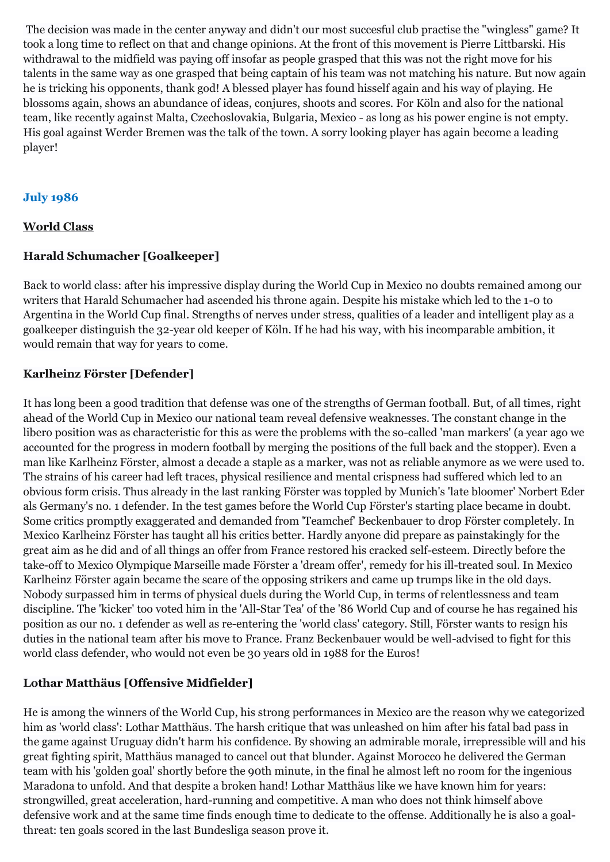The decision was made in the center anyway and didn't our most succesful club practise the "wingless" game? It took a long time to reflect on that and change opinions. At the front of this movement is Pierre Littbarski. His withdrawal to the midfield was paying off insofar as people grasped that this was not the right move for his talents in the same way as one grasped that being captain of his team was not matching his nature. But now again he is tricking his opponents, thank god! A blessed player has found hisself again and his way of playing. He blossoms again, shows an abundance of ideas, conjures, shoots and scores. For Köln and also for the national team, like recently against Malta, Czechoslovakia, Bulgaria, Mexico - as long as his power engine is not empty. His goal against Werder Bremen was the talk of the town. A sorry looking player has again become a leading player!

## **July 1986**

## **World Class**

### **Harald Schumacher [Goalkeeper]**

Back to world class: after his impressive display during the World Cup in Mexico no doubts remained among our writers that Harald Schumacher had ascended his throne again. Despite his mistake which led to the 1-0 to Argentina in the World Cup final. Strengths of nerves under stress, qualities of a leader and intelligent play as a goalkeeper distinguish the 32-year old keeper of Köln. If he had his way, with his incomparable ambition, it would remain that way for years to come.

## **Karlheinz Förster [Defender]**

It has long been a good tradition that defense was one of the strengths of German football. But, of all times, right ahead of the World Cup in Mexico our national team reveal defensive weaknesses. The constant change in the libero position was as characteristic for this as were the problems with the so-called 'man markers' (a year ago we accounted for the progress in modern football by merging the positions of the full back and the stopper). Even a man like Karlheinz Förster, almost a decade a staple as a marker, was not as reliable anymore as we were used to. The strains of his career had left traces, physical resilience and mental crispness had suffered which led to an obvious form crisis. Thus already in the last ranking Förster was toppled by Munich's 'late bloomer' Norbert Eder als Germany's no. 1 defender. In the test games before the World Cup Förster's starting place became in doubt. Some critics promptly exaggerated and demanded from 'Teamchef' Beckenbauer to drop Förster completely. In Mexico Karlheinz Förster has taught all his critics better. Hardly anyone did prepare as painstakingly for the great aim as he did and of all things an offer from France restored his cracked self-esteem. Directly before the take-off to Mexico Olympique Marseille made Förster a 'dream offer', remedy for his ill-treated soul. In Mexico Karlheinz Förster again became the scare of the opposing strikers and came up trumps like in the old days. Nobody surpassed him in terms of physical duels during the World Cup, in terms of relentlessness and team discipline. The 'kicker' too voted him in the 'All-Star Tea' of the '86 World Cup and of course he has regained his position as our no. 1 defender as well as re-entering the 'world class' category. Still, Förster wants to resign his duties in the national team after his move to France. Franz Beckenbauer would be well-advised to fight for this world class defender, who would not even be 30 years old in 1988 for the Euros!

## **Lothar Matthäus [Offensive Midfielder]**

He is among the winners of the World Cup, his strong performances in Mexico are the reason why we categorized him as 'world class': Lothar Matthäus. The harsh critique that was unleashed on him after his fatal bad pass in the game against Uruguay didn't harm his confidence. By showing an admirable morale, irrepressible will and his great fighting spirit, Matthäus managed to cancel out that blunder. Against Morocco he delivered the German team with his 'golden goal' shortly before the 90th minute, in the final he almost left no room for the ingenious Maradona to unfold. And that despite a broken hand! Lothar Matthäus like we have known him for years: strongwilled, great acceleration, hard-running and competitive. A man who does not think himself above defensive work and at the same time finds enough time to dedicate to the offense. Additionally he is also a goalthreat: ten goals scored in the last Bundesliga season prove it.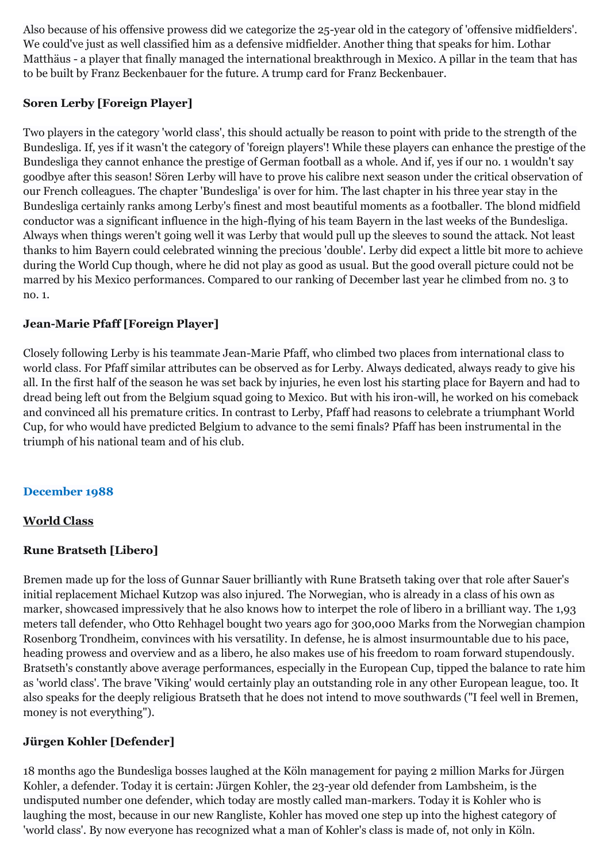Also because of his offensive prowess did we categorize the 25-year old in the category of 'offensive midfielders'. We could've just as well classified him as a defensive midfielder. Another thing that speaks for him. Lothar Matthäus - a player that finally managed the international breakthrough in Mexico. A pillar in the team that has to be built by Franz Beckenbauer for the future. A trump card for Franz Beckenbauer.

## **Soren Lerby [Foreign Player]**

Two players in the category 'world class', this should actually be reason to point with pride to the strength of the Bundesliga. If, yes if it wasn't the category of 'foreign players'! While these players can enhance the prestige of the Bundesliga they cannot enhance the prestige of German football as a whole. And if, yes if our no. 1 wouldn't say goodbye after this season! Sören Lerby will have to prove his calibre next season under the critical observation of our French colleagues. The chapter 'Bundesliga' is over for him. The last chapter in his three year stay in the Bundesliga certainly ranks among Lerby's finest and most beautiful moments as a footballer. The blond midfield conductor was a significant influence in the high-flying of his team Bayern in the last weeks of the Bundesliga. Always when things weren't going well it was Lerby that would pull up the sleeves to sound the attack. Not least thanks to him Bayern could celebrated winning the precious 'double'. Lerby did expect a little bit more to achieve during the World Cup though, where he did not play as good as usual. But the good overall picture could not be marred by his Mexico performances. Compared to our ranking of December last year he climbed from no. 3 to no. 1.

## **Jean-Marie Pfaff [Foreign Player]**

Closely following Lerby is his teammate Jean-Marie Pfaff, who climbed two places from international class to world class. For Pfaff similar attributes can be observed as for Lerby. Always dedicated, always ready to give his all. In the first half of the season he was set back by injuries, he even lost his starting place for Bayern and had to dread being left out from the Belgium squad going to Mexico. But with his iron-will, he worked on his comeback and convinced all his premature critics. In contrast to Lerby, Pfaff had reasons to celebrate a triumphant World Cup, for who would have predicted Belgium to advance to the semi finals? Pfaff has been instrumental in the triumph of his national team and of his club.

## **December 1988**

#### **World Class**

## **Rune Bratseth [Libero]**

Bremen made up for the loss of Gunnar Sauer brilliantly with Rune Bratseth taking over that role after Sauer's initial replacement Michael Kutzop was also injured. The Norwegian, who is already in a class of his own as marker, showcased impressively that he also knows how to interpet the role of libero in a brilliant way. The 1,93 meters tall defender, who Otto Rehhagel bought two years ago for 300,000 Marks from the Norwegian champion Rosenborg Trondheim, convinces with his versatility. In defense, he is almost insurmountable due to his pace, heading prowess and overview and as a libero, he also makes use of his freedom to roam forward stupendously. Bratseth's constantly above average performances, especially in the European Cup, tipped the balance to rate him as 'world class'. The brave 'Viking' would certainly play an outstanding role in any other European league, too. It also speaks for the deeply religious Bratseth that he does not intend to move southwards ("I feel well in Bremen, money is not everything").

## **Jürgen Kohler [Defender]**

18 months ago the Bundesliga bosses laughed at the Köln management for paying 2 million Marks for Jürgen Kohler, a defender. Today it is certain: Jürgen Kohler, the 23-year old defender from Lambsheim, is the undisputed number one defender, which today are mostly called man-markers. Today it is Kohler who is laughing the most, because in our new Rangliste, Kohler has moved one step up into the highest category of 'world class'. By now everyone has recognized what a man of Kohler's class is made of, not only in Köln.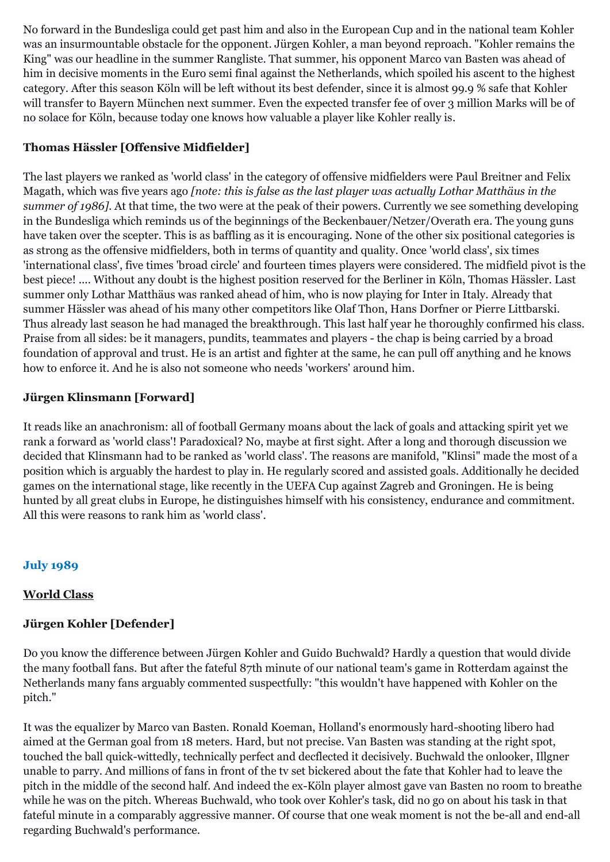No forward in the Bundesliga could get past him and also in the European Cup and in the national team Kohler was an insurmountable obstacle for the opponent. Jürgen Kohler, a man beyond reproach. "Kohler remains the King" was our headline in the summer Rangliste. That summer, his opponent Marco van Basten was ahead of him in decisive moments in the Euro semi final against the Netherlands, which spoiled his ascent to the highest category. After this season Köln will be left without its best defender, since it is almost 99.9 % safe that Kohler will transfer to Bayern München next summer. Even the expected transfer fee of over 3 million Marks will be of no solace for Köln, because today one knows how valuable a player like Kohler really is.

# **Thomas Hässler [Offensive Midfielder]**

The last players we ranked as 'world class' in the category of offensive midfielders were Paul Breitner and Felix Magath, which was five years ago *[note: this is false as the last player was actually Lothar Matthäus in the summer of 1986]*. At that time, the two were at the peak of their powers. Currently we see something developing in the Bundesliga which reminds us of the beginnings of the Beckenbauer/Netzer/Overath era. The young guns have taken over the scepter. This is as baffling as it is encouraging. None of the other six positional categories is as strong as the offensive midfielders, both in terms of quantity and quality. Once 'world class', six times 'international class', five times 'broad circle' and fourteen times players were considered. The midfield pivot is the best piece! .... Without any doubt is the highest position reserved for the Berliner in Köln, Thomas Hässler. Last summer only Lothar Matthäus was ranked ahead of him, who is now playing for Inter in Italy. Already that summer Hässler was ahead of his many other competitors like Olaf Thon, Hans Dorfner or Pierre Littbarski. Thus already last season he had managed the breakthrough. This last half year he thoroughly confirmed his class. Praise from all sides: be it managers, pundits, teammates and players - the chap is being carried by a broad foundation of approval and trust. He is an artist and fighter at the same, he can pull off anything and he knows how to enforce it. And he is also not someone who needs 'workers' around him.

# **Jürgen Klinsmann [Forward]**

It reads like an anachronism: all of football Germany moans about the lack of goals and attacking spirit yet we rank a forward as 'world class'! Paradoxical? No, maybe at first sight. After a long and thorough discussion we decided that Klinsmann had to be ranked as 'world class'. The reasons are manifold, "Klinsi" made the most of a position which is arguably the hardest to play in. He regularly scored and assisted goals. Additionally he decided games on the international stage, like recently in the UEFA Cup against Zagreb and Groningen. He is being hunted by all great clubs in Europe, he distinguishes himself with his consistency, endurance and commitment. All this were reasons to rank him as 'world class'.

# **July 1989**

# **World Class**

# **Jürgen Kohler [Defender]**

Do you know the difference between Jürgen Kohler and Guido Buchwald? Hardly a question that would divide the many football fans. But after the fateful 87th minute of our national team's game in Rotterdam against the Netherlands many fans arguably commented suspectfully: "this wouldn't have happened with Kohler on the pitch."

It was the equalizer by Marco van Basten. Ronald Koeman, Holland's enormously hard-shooting libero had aimed at the German goal from 18 meters. Hard, but not precise. Van Basten was standing at the right spot, touched the ball quick-wittedly, technically perfect and decflected it decisively. Buchwald the onlooker, Illgner unable to parry. And millions of fans in front of the tv set bickered about the fate that Kohler had to leave the pitch in the middle of the second half. And indeed the ex-Köln player almost gave van Basten no room to breathe while he was on the pitch. Whereas Buchwald, who took over Kohler's task, did no go on about his task in that fateful minute in a comparably aggressive manner. Of course that one weak moment is not the be-all and end-all regarding Buchwald's performance.